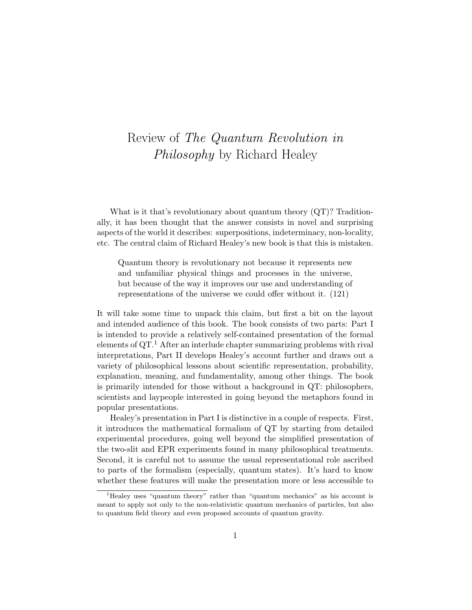## Review of The Quantum Revolution in Philosophy by Richard Healey

What is it that's revolutionary about quantum theory  $(QT)$ ? Traditionally, it has been thought that the answer consists in novel and surprising aspects of the world it describes: superpositions, indeterminacy, non-locality, etc. The central claim of Richard Healey's new book is that this is mistaken.

Quantum theory is revolutionary not because it represents new and unfamiliar physical things and processes in the universe, but because of the way it improves our use and understanding of representations of the universe we could offer without it. (121)

It will take some time to unpack this claim, but first a bit on the layout and intended audience of this book. The book consists of two parts: Part I is intended to provide a relatively self-contained presentation of the formal elements of  $QT$ .<sup>1</sup> After an interlude chapter summarizing problems with rival interpretations, Part II develops Healey's account further and draws out a variety of philosophical lessons about scientific representation, probability, explanation, meaning, and fundamentality, among other things. The book is primarily intended for those without a background in QT: philosophers, scientists and laypeople interested in going beyond the metaphors found in popular presentations.

Healey's presentation in Part I is distinctive in a couple of respects. First, it introduces the mathematical formalism of QT by starting from detailed experimental procedures, going well beyond the simplified presentation of the two-slit and EPR experiments found in many philosophical treatments. Second, it is careful not to assume the usual representational role ascribed to parts of the formalism (especially, quantum states). It's hard to know whether these features will make the presentation more or less accessible to

 $1$ <sup>1</sup>Healey uses "quantum theory" rather than "quantum mechanics" as his account is meant to apply not only to the non-relativistic quantum mechanics of particles, but also to quantum field theory and even proposed accounts of quantum gravity.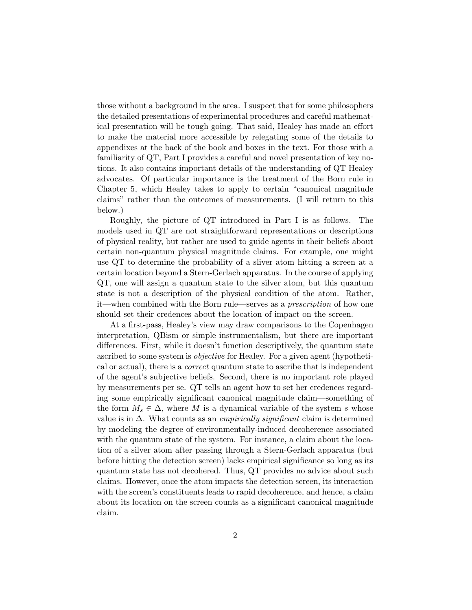those without a background in the area. I suspect that for some philosophers the detailed presentations of experimental procedures and careful mathematical presentation will be tough going. That said, Healey has made an effort to make the material more accessible by relegating some of the details to appendixes at the back of the book and boxes in the text. For those with a familiarity of QT, Part I provides a careful and novel presentation of key notions. It also contains important details of the understanding of QT Healey advocates. Of particular importance is the treatment of the Born rule in Chapter 5, which Healey takes to apply to certain "canonical magnitude claims" rather than the outcomes of measurements. (I will return to this below.)

Roughly, the picture of QT introduced in Part I is as follows. The models used in QT are not straightforward representations or descriptions of physical reality, but rather are used to guide agents in their beliefs about certain non-quantum physical magnitude claims. For example, one might use QT to determine the probability of a sliver atom hitting a screen at a certain location beyond a Stern-Gerlach apparatus. In the course of applying QT, one will assign a quantum state to the silver atom, but this quantum state is not a description of the physical condition of the atom. Rather, it—when combined with the Born rule—serves as a prescription of how one should set their credences about the location of impact on the screen.

At a first-pass, Healey's view may draw comparisons to the Copenhagen interpretation, QBism or simple instrumentalism, but there are important differences. First, while it doesn't function descriptively, the quantum state ascribed to some system is objective for Healey. For a given agent (hypothetical or actual), there is a correct quantum state to ascribe that is independent of the agent's subjective beliefs. Second, there is no important role played by measurements per se. QT tells an agent how to set her credences regarding some empirically significant canonical magnitude claim—something of the form  $M_s \in \Delta$ , where M is a dynamical variable of the system s whose value is in  $\Delta$ . What counts as an *empirically significant* claim is determined by modeling the degree of environmentally-induced decoherence associated with the quantum state of the system. For instance, a claim about the location of a silver atom after passing through a Stern-Gerlach apparatus (but before hitting the detection screen) lacks empirical significance so long as its quantum state has not decohered. Thus, QT provides no advice about such claims. However, once the atom impacts the detection screen, its interaction with the screen's constituents leads to rapid decoherence, and hence, a claim about its location on the screen counts as a significant canonical magnitude claim.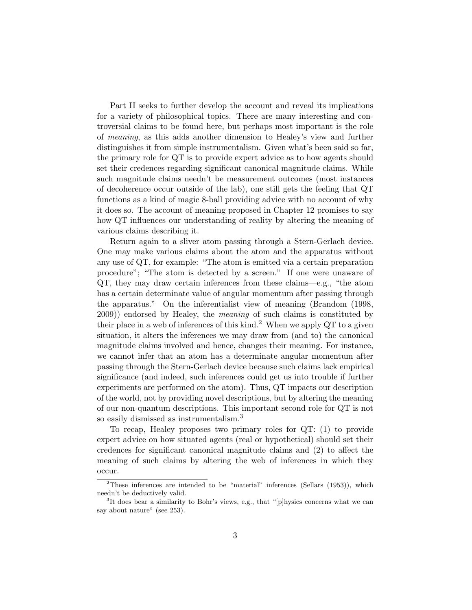Part II seeks to further develop the account and reveal its implications for a variety of philosophical topics. There are many interesting and controversial claims to be found here, but perhaps most important is the role of meaning, as this adds another dimension to Healey's view and further distinguishes it from simple instrumentalism. Given what's been said so far, the primary role for QT is to provide expert advice as to how agents should set their credences regarding significant canonical magnitude claims. While such magnitude claims needn't be measurement outcomes (most instances of decoherence occur outside of the lab), one still gets the feeling that QT functions as a kind of magic 8-ball providing advice with no account of why it does so. The account of meaning proposed in Chapter 12 promises to say how QT influences our understanding of reality by altering the meaning of various claims describing it.

Return again to a sliver atom passing through a Stern-Gerlach device. One may make various claims about the atom and the apparatus without any use of QT, for example: "The atom is emitted via a certain preparation procedure"; "The atom is detected by a screen." If one were unaware of QT, they may draw certain inferences from these claims—e.g., "the atom has a certain determinate value of angular momentum after passing through the apparatus." On the inferentialist view of meaning (Brandom (1998, 2009)) endorsed by Healey, the meaning of such claims is constituted by their place in a web of inferences of this kind.<sup>2</sup> When we apply QT to a given situation, it alters the inferences we may draw from (and to) the canonical magnitude claims involved and hence, changes their meaning. For instance, we cannot infer that an atom has a determinate angular momentum after passing through the Stern-Gerlach device because such claims lack empirical significance (and indeed, such inferences could get us into trouble if further experiments are performed on the atom). Thus, QT impacts our description of the world, not by providing novel descriptions, but by altering the meaning of our non-quantum descriptions. This important second role for QT is not so easily dismissed as instrumentalism.<sup>3</sup>

To recap, Healey proposes two primary roles for QT: (1) to provide expert advice on how situated agents (real or hypothetical) should set their credences for significant canonical magnitude claims and (2) to affect the meaning of such claims by altering the web of inferences in which they occur.

<sup>&</sup>lt;sup>2</sup>These inferences are intended to be "material" inferences (Sellars  $(1953)$ ), which needn't be deductively valid.

<sup>&</sup>lt;sup>3</sup>It does bear a similarity to Bohr's views, e.g., that "[p]hysics concerns what we can say about nature" (see 253).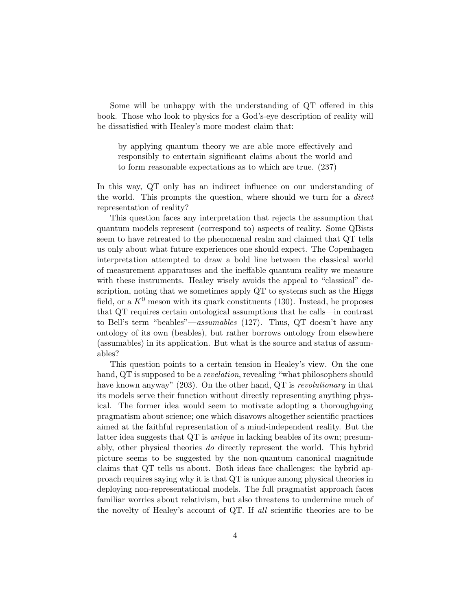Some will be unhappy with the understanding of QT offered in this book. Those who look to physics for a God's-eye description of reality will be dissatisfied with Healey's more modest claim that:

by applying quantum theory we are able more effectively and responsibly to entertain significant claims about the world and to form reasonable expectations as to which are true. (237)

In this way, QT only has an indirect influence on our understanding of the world. This prompts the question, where should we turn for a *direct* representation of reality?

This question faces any interpretation that rejects the assumption that quantum models represent (correspond to) aspects of reality. Some QBists seem to have retreated to the phenomenal realm and claimed that QT tells us only about what future experiences one should expect. The Copenhagen interpretation attempted to draw a bold line between the classical world of measurement apparatuses and the ineffable quantum reality we measure with these instruments. Healey wisely avoids the appeal to "classical" description, noting that we sometimes apply QT to systems such as the Higgs field, or a  $K^0$  meson with its quark constituents (130). Instead, he proposes that QT requires certain ontological assumptions that he calls—in contrast to Bell's term "beables"—assumables (127). Thus, QT doesn't have any ontology of its own (beables), but rather borrows ontology from elsewhere (assumables) in its application. But what is the source and status of assumables?

This question points to a certain tension in Healey's view. On the one hand, QT is supposed to be a *revelation*, revealing "what philosophers should have known anyway" (203). On the other hand, QT is *revolutionary* in that its models serve their function without directly representing anything physical. The former idea would seem to motivate adopting a thoroughgoing pragmatism about science; one which disavows altogether scientific practices aimed at the faithful representation of a mind-independent reality. But the latter idea suggests that QT is unique in lacking beables of its own; presumably, other physical theories do directly represent the world. This hybrid picture seems to be suggested by the non-quantum canonical magnitude claims that QT tells us about. Both ideas face challenges: the hybrid approach requires saying why it is that QT is unique among physical theories in deploying non-representational models. The full pragmatist approach faces familiar worries about relativism, but also threatens to undermine much of the novelty of Healey's account of QT. If all scientific theories are to be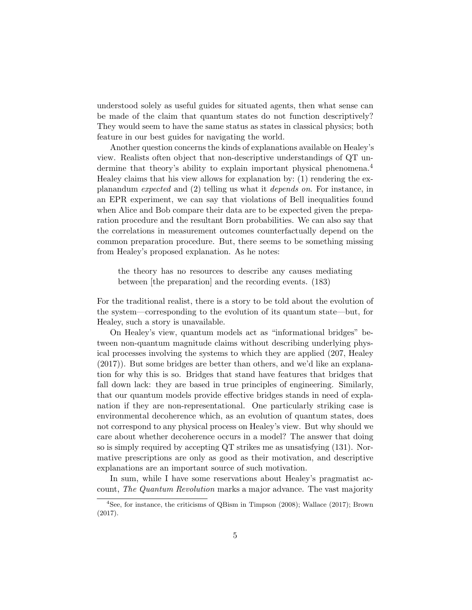understood solely as useful guides for situated agents, then what sense can be made of the claim that quantum states do not function descriptively? They would seem to have the same status as states in classical physics; both feature in our best guides for navigating the world.

Another question concerns the kinds of explanations available on Healey's view. Realists often object that non-descriptive understandings of QT undermine that theory's ability to explain important physical phenomena.<sup>4</sup> Healey claims that his view allows for explanation by: (1) rendering the explanandum expected and (2) telling us what it depends on. For instance, in an EPR experiment, we can say that violations of Bell inequalities found when Alice and Bob compare their data are to be expected given the preparation procedure and the resultant Born probabilities. We can also say that the correlations in measurement outcomes counterfactually depend on the common preparation procedure. But, there seems to be something missing from Healey's proposed explanation. As he notes:

the theory has no resources to describe any causes mediating between [the preparation] and the recording events. (183)

For the traditional realist, there is a story to be told about the evolution of the system—corresponding to the evolution of its quantum state—but, for Healey, such a story is unavailable.

On Healey's view, quantum models act as "informational bridges" between non-quantum magnitude claims without describing underlying physical processes involving the systems to which they are applied (207, Healey (2017)). But some bridges are better than others, and we'd like an explanation for why this is so. Bridges that stand have features that bridges that fall down lack: they are based in true principles of engineering. Similarly, that our quantum models provide effective bridges stands in need of explanation if they are non-representational. One particularly striking case is environmental decoherence which, as an evolution of quantum states, does not correspond to any physical process on Healey's view. But why should we care about whether decoherence occurs in a model? The answer that doing so is simply required by accepting QT strikes me as unsatisfying (131). Normative prescriptions are only as good as their motivation, and descriptive explanations are an important source of such motivation.

In sum, while I have some reservations about Healey's pragmatist account, The Quantum Revolution marks a major advance. The vast majority

<sup>&</sup>lt;sup>4</sup>See, for instance, the criticisms of QBism in Timpson (2008); Wallace (2017); Brown (2017).